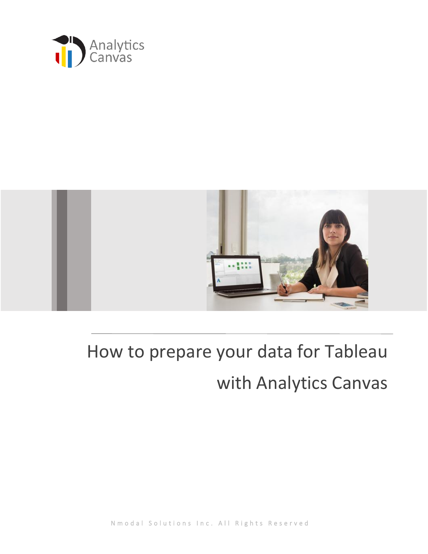



# How to prepare your data for Tableau

## with Analytics Canvas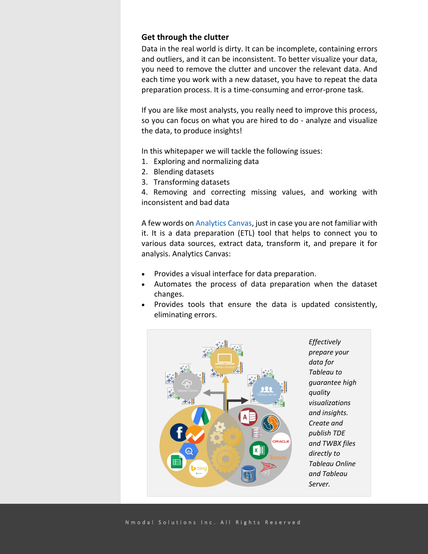#### **Get through the clutter**

Data in the real world is dirty. It can be incomplete, containing errors and outliers, and it can be inconsistent. To better visualize your data, you need to remove the clutter and uncover the relevant data. And each time you work with a new dataset, you have to repeat the data preparation process. It is a time-consuming and error-prone task.

If you are like most analysts, you really need to improve this process, so you can focus on what you are hired to do - analyze and visualize the data, to produce insights!

In this whitepaper we will tackle the following issues:

- 1. Exploring and normalizing data
- 2. Blending datasets
- 3. Transforming datasets

4. Removing and correcting missing values, and working with inconsistent and bad data

A few words on [Analytics Canvas,](http://www.analyticscanvas.com/tableau) just in case you are not familiar with it. It is a data preparation (ETL) tool that helps to connect you to various data sources, extract data, transform it, and prepare it for analysis. Analytics Canvas:

- Provides a visual interface for data preparation.
- Automates the process of data preparation when the dataset changes.
- Provides tools that ensure the data is updated consistently, eliminating errors.



*Effectively prepare your data for Tableau to guarantee high quality visualizations and insights. Create and publish TDE and TWBX files directly to Tableau Online and Tableau Server.*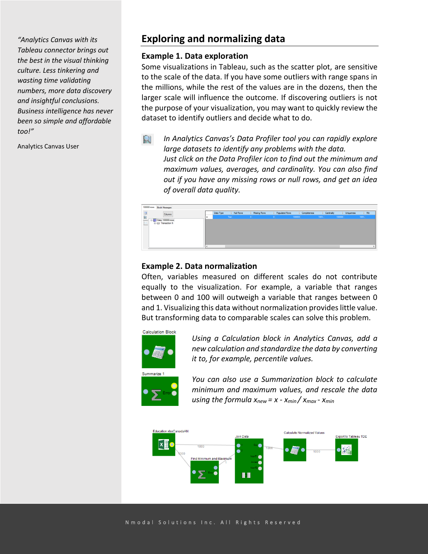*"Analytics Canvas with its Tableau connector brings out the best in the visual thinking culture. Less tinkering and wasting time validating numbers, more data discovery and insightful conclusions. Business intelligence has never been so simple and affordable too!"*

Analytics Canvas User

## **Exploring and normalizing data**

#### **Example 1. Data exploration**

Some visualizations in Tableau, such as the scatter plot, are sensitive to the scale of the data. If you have some outliers with range spans in the millions, while the rest of the values are in the dozens, then the larger scale will influence the outcome. If discovering outliers is not the purpose of your visualization, you may want to quickly review the dataset to identify outliers and decide what to do.

*In Analytics Canvas's Data Profiler tool you can rapidly explore*   $\mathbb{Q}$ *large datasets to identify any problems with the data. Just click on the Data Profiler icon to find out the minimum and maximum values, averages, and cardinality. You can also find out if you have any missing rows or null rows, and get an idea of overall data quality.*



#### **Example 2. Data normalization**

Often, variables measured on different scales do not contribute equally to the visualization. For example, a variable that ranges between 0 and 100 will outweigh a variable that ranges between 0 and 1. Visualizing this data without normalization provides little value. But transforming data to comparable scales can solve this problem.



*Using a Calculation block in Analytics Canvas, add a new calculation and standardize the data by converting it to, for example, percentile values.*



*You can also use a Summarization block to calculate minimum and maximum values, and rescale the data using the formula xnew = x - xmin / xmax - xmin*

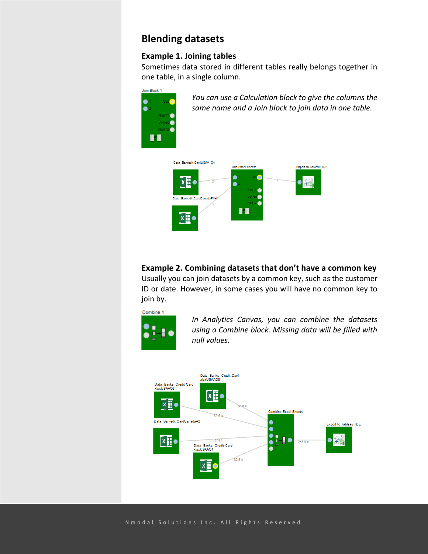## **Blending datasets**

 $\bullet$  $\bullet$ 

#### **Example 1. Joining tables**

Sometimes data stored in different tables really belongs together in one table, in a single column.



#### **Example 2. Combining datasets that don't have a common key**

Usually you can join datasets by a common key, such as the customer ID or date. However, in some cases you will have no common key to join by.



*In Analytics Canvas, you can combine the datasets using a Combine block. Missing data will be filled with null values.*

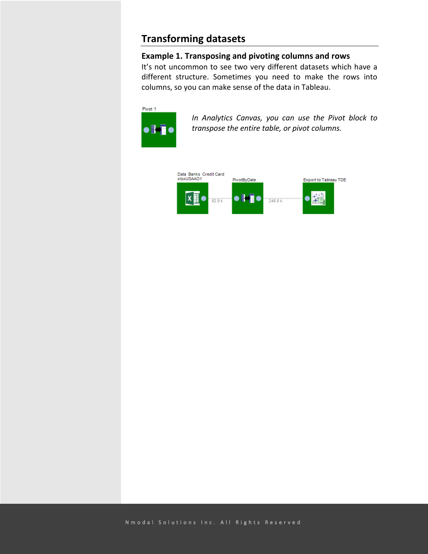## **Transforming datasets**

#### **Example 1. Transposing and pivoting columns and rows**

It's not uncommon to see two very different datasets which have a different structure. Sometimes you need to make the rows into columns, so you can make sense of the data in Tableau.



*In Analytics Canvas, you can use the Pivot block to transpose the entire table, or pivot columns.*

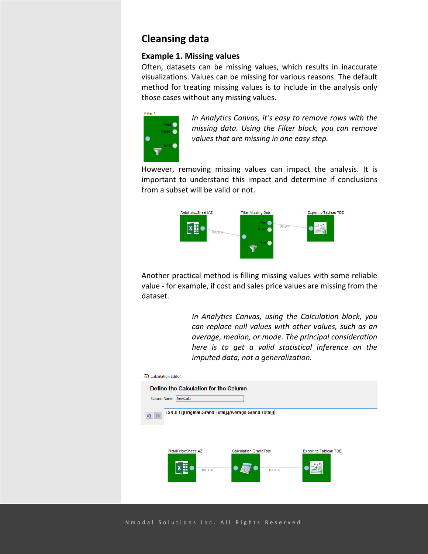### **Cleansing data**

#### **Example 1. Missing values**

Often, datasets can be missing values, which results in inaccurate visualizations. Values can be missing for various reasons. The default method for treating missing values is to include in the analysis only those cases without any missing values.



*In Analytics Canvas, it's easy to remove rows with the missing data. Using the Filter block, you can remove values that are missing in one easy step.*

However, removing missing values can impact the analysis. It is important to understand this impact and determine if conclusions from a subset will be valid or not.



Another practical method is filling missing values with some reliable value - for example, if cost and sales price values are missing from the dataset.

> *In Analytics Canvas, using the Calculation block, you can replace null values with other values, such as an average, median, or mode. The principal consideration here is to get a valid statistical inference on the imputed data, not a generalization.*



N m o d a l S o l u t i o n s I n c . A l l R i g h t s R e s e r v e d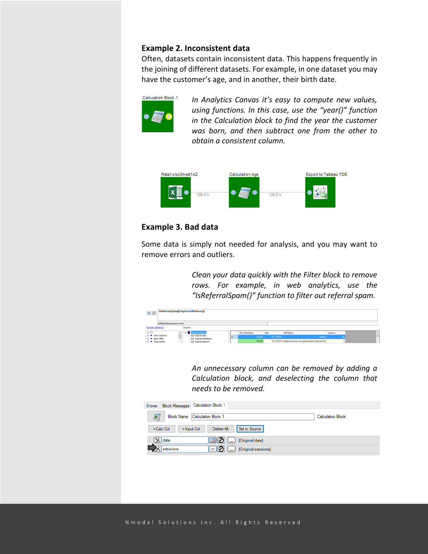#### **Example 2. Inconsistent data**

Often, datasets contain inconsistent data. This happens frequently in the joining of different datasets. For example, in one dataset you may have the customer's age, and in another, their birth date.



*In Analytics Canvas it's easy to compute new values, using functions. In this case, use the "year()" function in the Calculation block to find the year the customer was born, and then subtract one from the other to obtain a consistent column.*



#### **Example 3. Bad data**

Some data is simply not needed for analysis, and you may want to remove errors and outliers.

> *Clean your data quickly with the Filter block to remove rows. For example, in web analytics, use the "IsReferralSpam()" function to filter out referral spam.*



*An unnecessary column can be removed by adding a Calculation block, and deselecting the column that needs to be removed.*